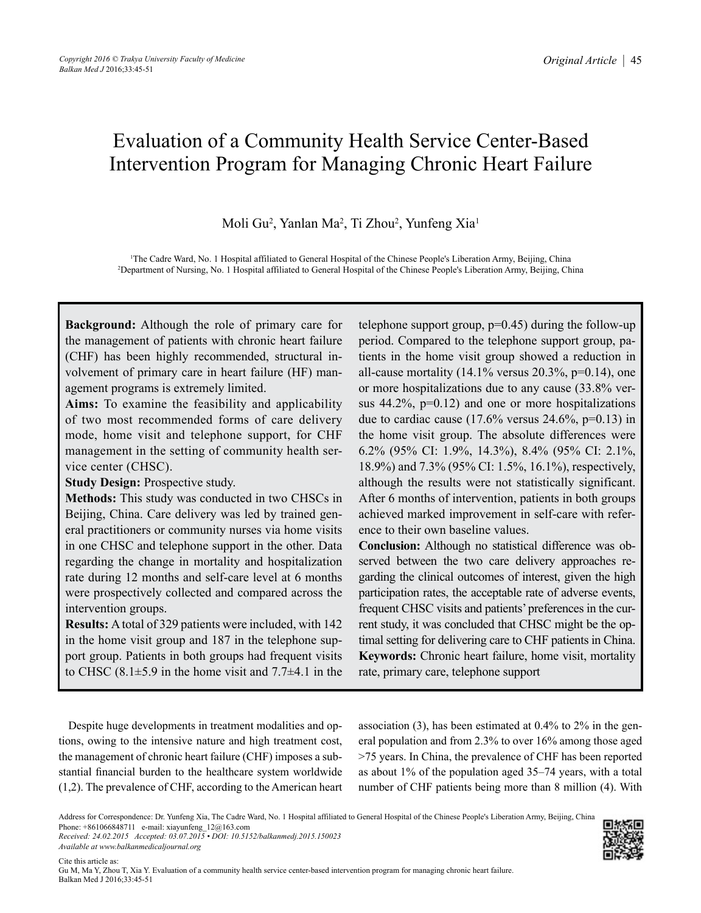# Evaluation of a Community Health Service Center-Based Intervention Program for Managing Chronic Heart Failure

Moli Gu<sup>2</sup>, Yanlan Ma<sup>2</sup>, Ti Zhou<sup>2</sup>, Yunfeng Xia<sup>1</sup>

1 The Cadre Ward, No. 1 Hospital affiliated to General Hospital of the Chinese People's Liberation Army, Beijing, China 2 Department of Nursing, No. 1 Hospital affiliated to General Hospital of the Chinese People's Liberation Army, Beijing, China

**Background:** Although the role of primary care for the management of patients with chronic heart failure (CHF) has been highly recommended, structural involvement of primary care in heart failure (HF) management programs is extremely limited.

**Aims:** To examine the feasibility and applicability of two most recommended forms of care delivery mode, home visit and telephone support, for CHF management in the setting of community health service center (CHSC).

**Study Design:** Prospective study.

**Methods:** This study was conducted in two CHSCs in Beijing, China. Care delivery was led by trained general practitioners or community nurses via home visits in one CHSC and telephone support in the other. Data regarding the change in mortality and hospitalization rate during 12 months and self-care level at 6 months were prospectively collected and compared across the intervention groups.

**Results:** A total of 329 patients were included, with 142 in the home visit group and 187 in the telephone support group. Patients in both groups had frequent visits to CHSC  $(8.1\pm5.9)$  in the home visit and  $7.7\pm4.1$  in the telephone support group,  $p=0.45$ ) during the follow-up period. Compared to the telephone support group, patients in the home visit group showed a reduction in all-cause mortality  $(14.1\%$  versus  $20.3\%$ , p=0.14), one or more hospitalizations due to any cause (33.8% versus  $44.2\%$ ,  $p=0.12$ ) and one or more hospitalizations due to cardiac cause  $(17.6\% \text{ versus } 24.6\%, \text{ p=0.13})$  in the home visit group. The absolute differences were 6.2% (95% CI: 1.9%, 14.3%), 8.4% (95% CI: 2.1%, 18.9%) and 7.3% (95% CI: 1.5%, 16.1%), respectively, although the results were not statistically significant. After 6 months of intervention, patients in both groups achieved marked improvement in self-care with reference to their own baseline values.

**Conclusion:** Although no statistical difference was observed between the two care delivery approaches regarding the clinical outcomes of interest, given the high participation rates, the acceptable rate of adverse events, frequent CHSC visits and patients' preferences in the current study, it was concluded that CHSC might be the optimal setting for delivering care to CHF patients in China. **Keywords:** Chronic heart failure, home visit, mortality rate, primary care, telephone support

Despite huge developments in treatment modalities and options, owing to the intensive nature and high treatment cost, the management of chronic heart failure (CHF) imposes a substantial financial burden to the healthcare system worldwide (1,2). The prevalence of CHF, according to the American heart

association (3), has been estimated at 0.4% to 2% in the general population and from 2.3% to over 16% among those aged >75 years. In China, the prevalence of CHF has been reported as about 1% of the population aged 35–74 years, with a total number of CHF patients being more than 8 million (4). With

*Received: 24.02.2015 Accepted: 03.07.2015 • DOI: 10.5152/balkanmedj.2015.150023 Available at www.balkanmedicaljournal.org*



Address for Correspondence: Dr. Yunfeng Xia, The Cadre Ward, No. 1 Hospital affiliated to General Hospital of the Chinese People's Liberation Army, Beijing, China Phone: +861066848711 e-mail: xiayunfeng\_12@163.com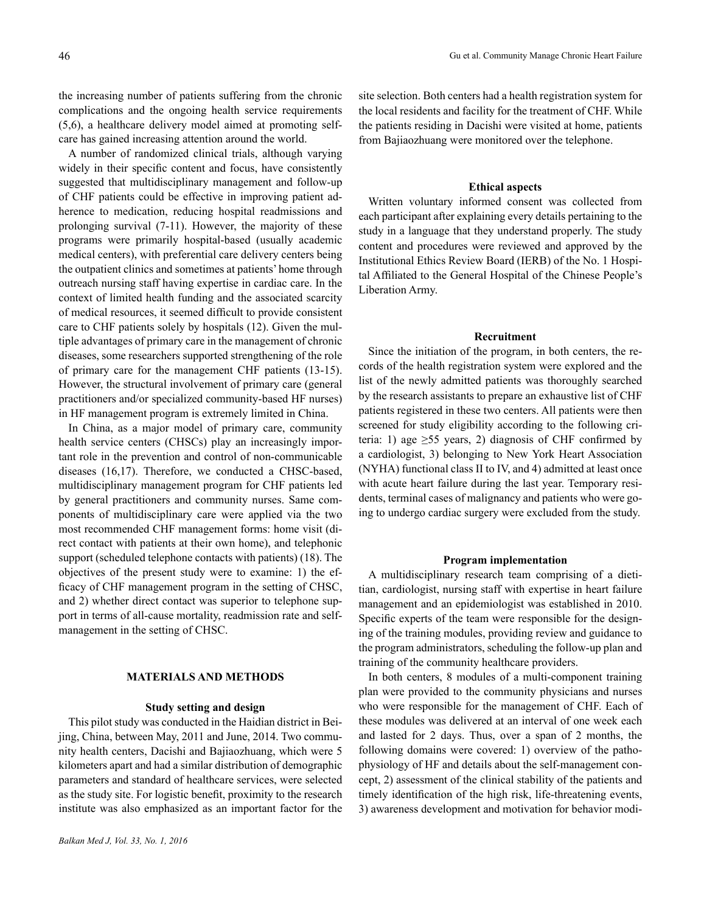the increasing number of patients suffering from the chronic complications and the ongoing health service requirements (5,6), a healthcare delivery model aimed at promoting selfcare has gained increasing attention around the world.

A number of randomized clinical trials, although varying widely in their specific content and focus, have consistently suggested that multidisciplinary management and follow-up of CHF patients could be effective in improving patient adherence to medication, reducing hospital readmissions and prolonging survival (7-11). However, the majority of these programs were primarily hospital-based (usually academic medical centers), with preferential care delivery centers being the outpatient clinics and sometimes at patients' home through outreach nursing staff having expertise in cardiac care. In the context of limited health funding and the associated scarcity of medical resources, it seemed difficult to provide consistent care to CHF patients solely by hospitals (12). Given the multiple advantages of primary care in the management of chronic diseases, some researchers supported strengthening of the role of primary care for the management CHF patients (13-15). However, the structural involvement of primary care (general practitioners and/or specialized community-based HF nurses) in HF management program is extremely limited in China.

In China, as a major model of primary care, community health service centers (CHSCs) play an increasingly important role in the prevention and control of non-communicable diseases (16,17). Therefore, we conducted a CHSC-based, multidisciplinary management program for CHF patients led by general practitioners and community nurses. Same components of multidisciplinary care were applied via the two most recommended CHF management forms: home visit (direct contact with patients at their own home), and telephonic support (scheduled telephone contacts with patients) (18). The objectives of the present study were to examine: 1) the efficacy of CHF management program in the setting of CHSC, and 2) whether direct contact was superior to telephone support in terms of all-cause mortality, readmission rate and selfmanagement in the setting of CHSC.

## **MATERIALS AND METHODS**

#### **Study setting and design**

This pilot study was conducted in the Haidian district in Beijing, China, between May, 2011 and June, 2014. Two community health centers, Dacishi and Bajiaozhuang, which were 5 kilometers apart and had a similar distribution of demographic parameters and standard of healthcare services, were selected as the study site. For logistic benefit, proximity to the research institute was also emphasized as an important factor for the site selection. Both centers had a health registration system for the local residents and facility for the treatment of CHF. While the patients residing in Dacishi were visited at home, patients from Bajiaozhuang were monitored over the telephone.

## **Ethical aspects**

Written voluntary informed consent was collected from each participant after explaining every details pertaining to the study in a language that they understand properly. The study content and procedures were reviewed and approved by the Institutional Ethics Review Board (IERB) of the No. 1 Hospital Affiliated to the General Hospital of the Chinese People's Liberation Army.

## **Recruitment**

Since the initiation of the program, in both centers, the records of the health registration system were explored and the list of the newly admitted patients was thoroughly searched by the research assistants to prepare an exhaustive list of CHF patients registered in these two centers. All patients were then screened for study eligibility according to the following criteria: 1) age  $\geq 55$  years, 2) diagnosis of CHF confirmed by a cardiologist, 3) belonging to New York Heart Association (NYHA) functional class II to IV, and 4) admitted at least once with acute heart failure during the last year. Temporary residents, terminal cases of malignancy and patients who were going to undergo cardiac surgery were excluded from the study.

## **Program implementation**

A multidisciplinary research team comprising of a dietitian, cardiologist, nursing staff with expertise in heart failure management and an epidemiologist was established in 2010. Specific experts of the team were responsible for the designing of the training modules, providing review and guidance to the program administrators, scheduling the follow-up plan and training of the community healthcare providers.

In both centers, 8 modules of a multi-component training plan were provided to the community physicians and nurses who were responsible for the management of CHF. Each of these modules was delivered at an interval of one week each and lasted for 2 days. Thus, over a span of 2 months, the following domains were covered: 1) overview of the pathophysiology of HF and details about the self-management concept, 2) assessment of the clinical stability of the patients and timely identification of the high risk, life-threatening events, 3) awareness development and motivation for behavior modi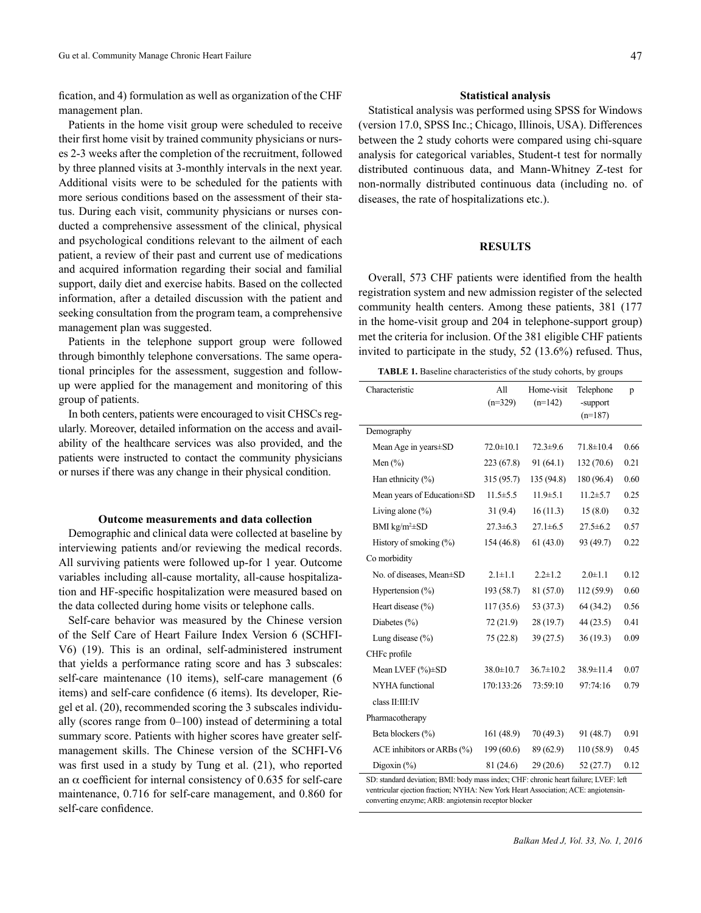fication, and 4) formulation as well as organization of the CHF management plan.

Patients in the home visit group were scheduled to receive their first home visit by trained community physicians or nurses 2-3 weeks after the completion of the recruitment, followed by three planned visits at 3-monthly intervals in the next year. Additional visits were to be scheduled for the patients with more serious conditions based on the assessment of their status. During each visit, community physicians or nurses conducted a comprehensive assessment of the clinical, physical and psychological conditions relevant to the ailment of each patient, a review of their past and current use of medications and acquired information regarding their social and familial support, daily diet and exercise habits. Based on the collected information, after a detailed discussion with the patient and seeking consultation from the program team, a comprehensive management plan was suggested.

Patients in the telephone support group were followed through bimonthly telephone conversations. The same operational principles for the assessment, suggestion and followup were applied for the management and monitoring of this group of patients.

In both centers, patients were encouraged to visit CHSCs regularly. Moreover, detailed information on the access and availability of the healthcare services was also provided, and the patients were instructed to contact the community physicians or nurses if there was any change in their physical condition.

# **Outcome measurements and data collection**

Demographic and clinical data were collected at baseline by interviewing patients and/or reviewing the medical records. All surviving patients were followed up-for 1 year. Outcome variables including all-cause mortality, all-cause hospitalization and HF-specific hospitalization were measured based on the data collected during home visits or telephone calls.

Self-care behavior was measured by the Chinese version of the Self Care of Heart Failure Index Version 6 (SCHFI-V6) (19). This is an ordinal, self-administered instrument that yields a performance rating score and has 3 subscales: self-care maintenance (10 items), self-care management (6 items) and self-care confidence (6 items). Its developer, Riegel et al. (20), recommended scoring the 3 subscales individually (scores range from 0–100) instead of determining a total summary score. Patients with higher scores have greater selfmanagement skills. The Chinese version of the SCHFI-V6 was first used in a study by Tung et al. (21), who reported an  $\alpha$  coefficient for internal consistency of 0.635 for self-care maintenance, 0.716 for self-care management, and 0.860 for self-care confidence.

## **Statistical analysis**

Statistical analysis was performed using SPSS for Windows (version 17.0, SPSS Inc.; Chicago, Illinois, USA). Differences between the 2 study cohorts were compared using chi-square analysis for categorical variables, Student-t test for normally distributed continuous data, and Mann-Whitney Z-test for non-normally distributed continuous data (including no. of diseases, the rate of hospitalizations etc.).

## **RESULTS**

Overall, 573 CHF patients were identified from the health registration system and new admission register of the selected community health centers. Among these patients, 381 (177 in the home-visit group and 204 in telephone-support group) met the criteria for inclusion. Of the 381 eligible CHF patients invited to participate in the study, 52 (13.6%) refused. Thus,

**TABLE 1.** Baseline characteristics of the study cohorts, by groups

| Characteristic                                                                       | All<br>$(n=329)$ | Home-visit<br>$(n=142)$ | Telephone<br>-support<br>$(n=187)$ | p    |  |  |
|--------------------------------------------------------------------------------------|------------------|-------------------------|------------------------------------|------|--|--|
| Demography                                                                           |                  |                         |                                    |      |  |  |
| Mean Age in years ± SD                                                               | $72.0 \pm 10.1$  | $72.3 \pm 9.6$          | $71.8 \pm 10.4$                    | 0.66 |  |  |
| Men $(\% )$                                                                          | 223 (67.8)       | 91(64.1)                | 132(70.6)                          | 0.21 |  |  |
| Han ethnicity $(\% )$                                                                | 315 (95.7)       | 135 (94.8)              | 180 (96.4)                         | 0.60 |  |  |
| Mean years of Education±SD                                                           | $11.5 \pm 5.5$   | $11.9 \pm 5.1$          | $11.2 \pm 5.7$                     | 0.25 |  |  |
| Living alone $(\% )$                                                                 | 31(9.4)          | 16(11.3)                | 15(8.0)                            | 0.32 |  |  |
| BMI $kg/m^2 \pm SD$                                                                  | $27.3 \pm 6.3$   | $27.1 \pm 6.5$          | $27.5 \pm 6.2$                     | 0.57 |  |  |
| History of smoking $(\% )$                                                           | 154 (46.8)       | 61(43.0)                | 93 (49.7)                          | 0.22 |  |  |
| Co morbidity                                                                         |                  |                         |                                    |      |  |  |
| No. of diseases, Mean±SD                                                             | $2.1 \pm 1.1$    | $2.2 \pm 1.2$           | $2.0 + 1.1$                        | 0.12 |  |  |
| Hypertension $(\% )$                                                                 | 193 (58.7)       | 81 (57.0)               | 112 (59.9)                         | 0.60 |  |  |
| Heart disease $(\% )$                                                                | 117(35.6)        | 53 (37.3)               | 64 (34.2)                          | 0.56 |  |  |
| Diabetes $(\% )$                                                                     | 72(21.9)         | 28(19.7)                | 44 (23.5)                          | 0.41 |  |  |
| Lung disease $(\% )$                                                                 | 75(22.8)         | 39(27.5)                | 36(19.3)                           | 0.09 |  |  |
| CHFc profile                                                                         |                  |                         |                                    |      |  |  |
| Mean LVEF $(\%)\pm SD$                                                               | $38.0 \pm 10.7$  | $36.7 \pm 10.2$         | $38.9 \pm 11.4$                    | 0.07 |  |  |
| <b>NYHA</b> functional                                                               | 170:133:26       | 73:59:10                | 97:74:16                           | 0.79 |  |  |
| class II:III:IV                                                                      |                  |                         |                                    |      |  |  |
| Pharmacotherapy                                                                      |                  |                         |                                    |      |  |  |
| Beta blockers (%)                                                                    | 161(48.9)        | 70 (49.3)               | 91 (48.7)                          | 0.91 |  |  |
| ACE inhibitors or ARBs $(\% )$                                                       | 199 (60.6)       | 89 (62.9)               | 110 (58.9)                         | 0.45 |  |  |
| Digoxin $(\% )$                                                                      | 81 (24.6)        | 29(20.6)                | 52(27.7)                           | 0.12 |  |  |
| SD: standard deviation; BMI: body mass index; CHF: chronic heart failure; LVEF: left |                  |                         |                                    |      |  |  |

ventricular ejection fraction; NYHA: New York Heart Association; ACE: angiotensinconverting enzyme; ARB: angiotensin receptor blocker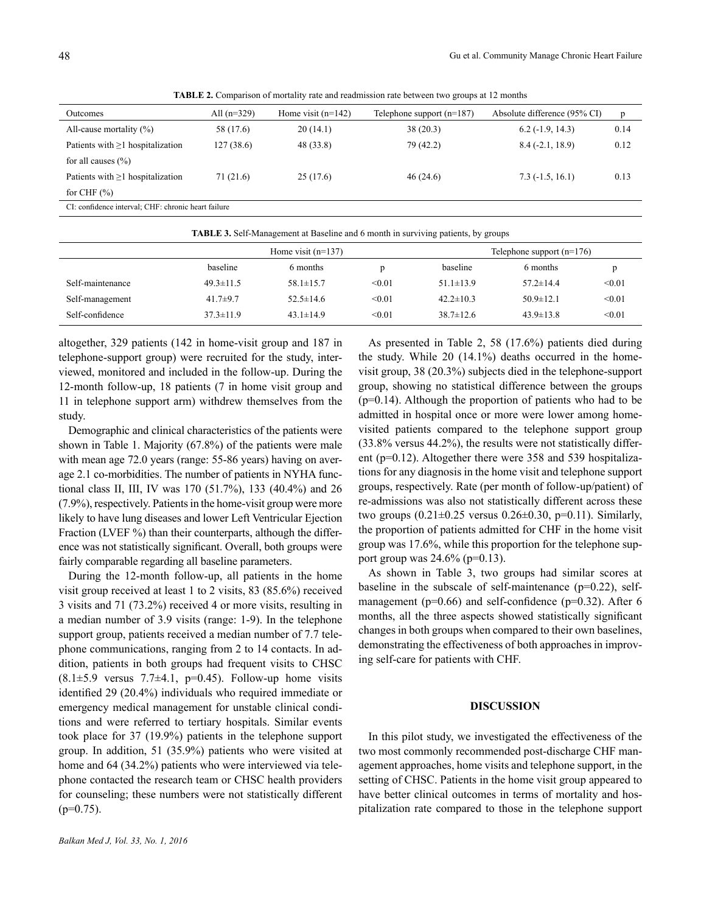**TABLE 2.** Comparison of mortality rate and readmission rate between two groups at 12 months

| <b>Outcomes</b>                                     | All $(n=329)$ | Home visit $(n=142)$ | Telephone support $(n=187)$ | Absolute difference (95% CI) | p    |  |
|-----------------------------------------------------|---------------|----------------------|-----------------------------|------------------------------|------|--|
| All-cause mortality $(\% )$                         | 58 (17.6)     | 20(14.1)             | 38(20.3)                    | $6.2$ ( $-1.9$ , 14.3)       | 0.14 |  |
| Patients with $\geq 1$ hospitalization              | 127(38.6)     | 48 (33.8)            | 79(42.2)                    | $8.4(-2.1, 18.9)$            | 0.12 |  |
| for all causes $(\% )$                              |               |                      |                             |                              |      |  |
| Patients with $\geq 1$ hospitalization              | 71 (21.6)     | 25(17.6)             | 46(24.6)                    | $7.3(-1.5, 16.1)$            | 0.13 |  |
| for CHF $(\% )$                                     |               |                      |                             |                              |      |  |
| CI: confidence interval; CHF: chronic heart failure |               |                      |                             |                              |      |  |
|                                                     |               |                      |                             |                              |      |  |

| <b>TABLE 3.</b> Self-Management at Baseline and 6 month in surviving patients, by groups |                 |                      |        |                 |                             |        |  |  |
|------------------------------------------------------------------------------------------|-----------------|----------------------|--------|-----------------|-----------------------------|--------|--|--|
|                                                                                          |                 | Home visit $(n=137)$ |        |                 | Telephone support $(n=176)$ |        |  |  |
|                                                                                          | baseline        | 6 months             |        | baseline        | 6 months                    | D.     |  |  |
| Self-maintenance                                                                         | $49.3 \pm 11.5$ | $58.1 \pm 15.7$      | < 0.01 | $51.1 \pm 13.9$ | $57.2 \pm 14.4$             | < 0.01 |  |  |
| Self-management                                                                          | 41.7 $\pm$ 9.7  | $52.5 \pm 14.6$      | < 0.01 | $42.2 \pm 10.3$ | $50.9 \pm 12.1$             | < 0.01 |  |  |
| Self-confidence                                                                          | $37.3 \pm 11.9$ | $43.1 \pm 14.9$      | < 0.01 | $38.7 \pm 12.6$ | $43.9 \pm 13.8$             | < 0.01 |  |  |

altogether, 329 patients (142 in home-visit group and 187 in telephone-support group) were recruited for the study, interviewed, monitored and included in the follow-up. During the 12-month follow-up, 18 patients (7 in home visit group and 11 in telephone support arm) withdrew themselves from the study.

Demographic and clinical characteristics of the patients were shown in Table 1. Majority (67.8%) of the patients were male with mean age 72.0 years (range: 55-86 years) having on average 2.1 co-morbidities. The number of patients in NYHA functional class II, III, IV was 170 (51.7%), 133 (40.4%) and 26 (7.9%), respectively. Patients in the home-visit group were more likely to have lung diseases and lower Left Ventricular Ejection Fraction (LVEF %) than their counterparts, although the difference was not statistically significant. Overall, both groups were fairly comparable regarding all baseline parameters.

During the 12-month follow-up, all patients in the home visit group received at least 1 to 2 visits, 83 (85.6%) received 3 visits and 71 (73.2%) received 4 or more visits, resulting in a median number of 3.9 visits (range: 1-9). In the telephone support group, patients received a median number of 7.7 telephone communications, ranging from 2 to 14 contacts. In addition, patients in both groups had frequent visits to CHSC  $(8.1\pm5.9 \text{ versus } 7.7\pm4.1, \text{ p=0.45}).$  Follow-up home visits identified 29 (20.4%) individuals who required immediate or emergency medical management for unstable clinical conditions and were referred to tertiary hospitals. Similar events took place for 37 (19.9%) patients in the telephone support group. In addition, 51 (35.9%) patients who were visited at home and 64 (34.2%) patients who were interviewed via telephone contacted the research team or CHSC health providers for counseling; these numbers were not statistically different  $(p=0.75)$ .

As presented in Table 2, 58 (17.6%) patients died during the study. While 20 (14.1%) deaths occurred in the homevisit group, 38 (20.3%) subjects died in the telephone-support group, showing no statistical difference between the groups (p=0.14). Although the proportion of patients who had to be admitted in hospital once or more were lower among homevisited patients compared to the telephone support group (33.8% versus 44.2%), the results were not statistically different (p=0.12). Altogether there were 358 and 539 hospitalizations for any diagnosis in the home visit and telephone support groups, respectively. Rate (per month of follow-up/patient) of re-admissions was also not statistically different across these two groups  $(0.21 \pm 0.25$  versus  $0.26 \pm 0.30$ , p=0.11). Similarly, the proportion of patients admitted for CHF in the home visit group was 17.6%, while this proportion for the telephone support group was  $24.6\%$  (p=0.13).

As shown in Table 3, two groups had similar scores at baseline in the subscale of self-maintenance (p=0.22), selfmanagement ( $p=0.66$ ) and self-confidence ( $p=0.32$ ). After 6 months, all the three aspects showed statistically significant changes in both groups when compared to their own baselines, demonstrating the effectiveness of both approaches in improving self-care for patients with CHF.

## **DISCUSSION**

In this pilot study, we investigated the effectiveness of the two most commonly recommended post-discharge CHF management approaches, home visits and telephone support, in the setting of CHSC. Patients in the home visit group appeared to have better clinical outcomes in terms of mortality and hospitalization rate compared to those in the telephone support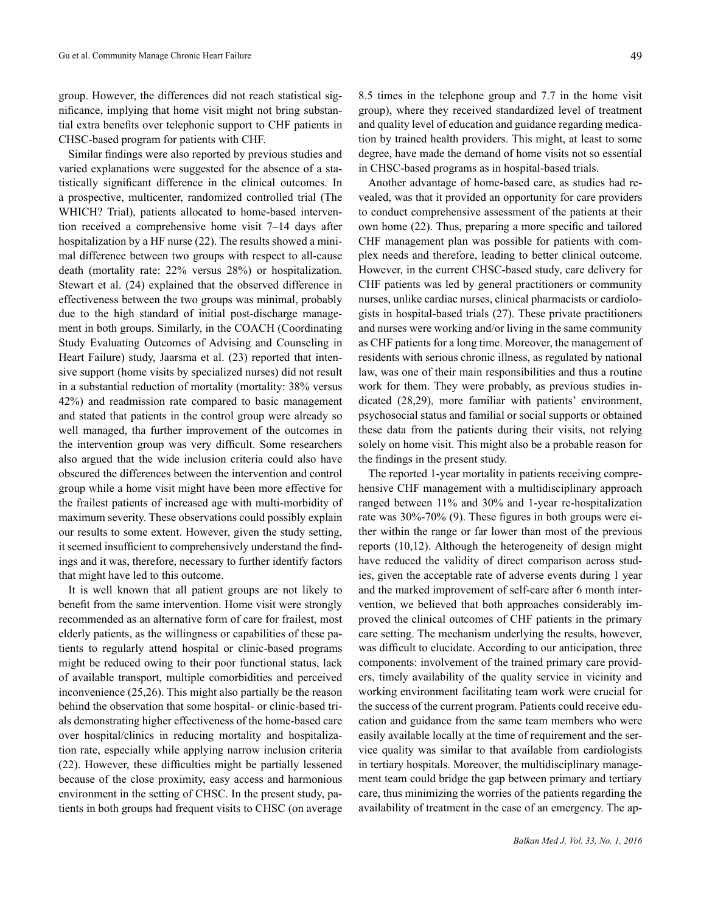group. However, the differences did not reach statistical significance, implying that home visit might not bring substantial extra benefits over telephonic support to CHF patients in CHSC-based program for patients with CHF.

Similar findings were also reported by previous studies and varied explanations were suggested for the absence of a statistically significant difference in the clinical outcomes. In a prospective, multicenter, randomized controlled trial (The WHICH? Trial), patients allocated to home-based intervention received a comprehensive home visit 7–14 days after hospitalization by a HF nurse (22). The results showed a minimal difference between two groups with respect to all-cause death (mortality rate: 22% versus 28%) or hospitalization. Stewart et al. (24) explained that the observed difference in effectiveness between the two groups was minimal, probably due to the high standard of initial post-discharge management in both groups. Similarly, in the COACH (Coordinating Study Evaluating Outcomes of Advising and Counseling in Heart Failure) study, Jaarsma et al. (23) reported that intensive support (home visits by specialized nurses) did not result in a substantial reduction of mortality (mortality: 38% versus 42%) and readmission rate compared to basic management and stated that patients in the control group were already so well managed, tha further improvement of the outcomes in the intervention group was very difficult. Some researchers also argued that the wide inclusion criteria could also have obscured the differences between the intervention and control group while a home visit might have been more effective for the frailest patients of increased age with multi-morbidity of maximum severity. These observations could possibly explain our results to some extent. However, given the study setting, it seemed insufficient to comprehensively understand the findings and it was, therefore, necessary to further identify factors that might have led to this outcome.

It is well known that all patient groups are not likely to benefit from the same intervention. Home visit were strongly recommended as an alternative form of care for frailest, most elderly patients, as the willingness or capabilities of these patients to regularly attend hospital or clinic-based programs might be reduced owing to their poor functional status, lack of available transport, multiple comorbidities and perceived inconvenience (25,26). This might also partially be the reason behind the observation that some hospital- or clinic-based trials demonstrating higher effectiveness of the home-based care over hospital/clinics in reducing mortality and hospitalization rate, especially while applying narrow inclusion criteria (22). However, these difficulties might be partially lessened because of the close proximity, easy access and harmonious environment in the setting of CHSC. In the present study, patients in both groups had frequent visits to CHSC (on average

8.5 times in the telephone group and 7.7 in the home visit group), where they received standardized level of treatment and quality level of education and guidance regarding medication by trained health providers. This might, at least to some degree, have made the demand of home visits not so essential in CHSC-based programs as in hospital-based trials.

Another advantage of home-based care, as studies had revealed, was that it provided an opportunity for care providers to conduct comprehensive assessment of the patients at their own home (22). Thus, preparing a more specific and tailored CHF management plan was possible for patients with complex needs and therefore, leading to better clinical outcome. However, in the current CHSC-based study, care delivery for CHF patients was led by general practitioners or community nurses, unlike cardiac nurses, clinical pharmacists or cardiologists in hospital-based trials (27). These private practitioners and nurses were working and/or living in the same community as CHF patients for a long time. Moreover, the management of residents with serious chronic illness, as regulated by national law, was one of their main responsibilities and thus a routine work for them. They were probably, as previous studies indicated (28,29), more familiar with patients' environment, psychosocial status and familial or social supports or obtained these data from the patients during their visits, not relying solely on home visit. This might also be a probable reason for the findings in the present study.

The reported 1-year mortality in patients receiving comprehensive CHF management with a multidisciplinary approach ranged between 11% and 30% and 1-year re-hospitalization rate was 30%-70% (9). These figures in both groups were either within the range or far lower than most of the previous reports (10,12). Although the heterogeneity of design might have reduced the validity of direct comparison across studies, given the acceptable rate of adverse events during 1 year and the marked improvement of self-care after 6 month intervention, we believed that both approaches considerably improved the clinical outcomes of CHF patients in the primary care setting. The mechanism underlying the results, however, was difficult to elucidate. According to our anticipation, three components: involvement of the trained primary care providers, timely availability of the quality service in vicinity and working environment facilitating team work were crucial for the success of the current program. Patients could receive education and guidance from the same team members who were easily available locally at the time of requirement and the service quality was similar to that available from cardiologists in tertiary hospitals. Moreover, the multidisciplinary management team could bridge the gap between primary and tertiary care, thus minimizing the worries of the patients regarding the availability of treatment in the case of an emergency. The ap-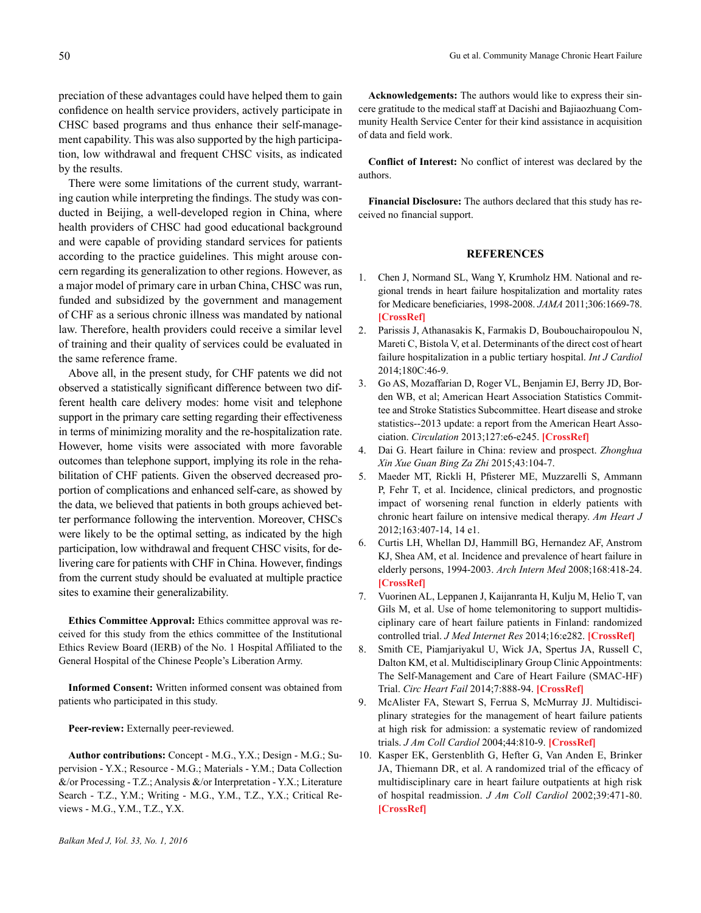There were some limitations of the current study, warranting caution while interpreting the findings. The study was conducted in Beijing, a well-developed region in China, where health providers of CHSC had good educational background and were capable of providing standard services for patients according to the practice guidelines. This might arouse concern regarding its generalization to other regions. However, as a major model of primary care in urban China, CHSC was run, funded and subsidized by the government and management of CHF as a serious chronic illness was mandated by national law. Therefore, health providers could receive a similar level of training and their quality of services could be evaluated in the same reference frame.

Above all, in the present study, for CHF patents we did not observed a statistically significant difference between two different health care delivery modes: home visit and telephone support in the primary care setting regarding their effectiveness in terms of minimizing morality and the re-hospitalization rate. However, home visits were associated with more favorable outcomes than telephone support, implying its role in the rehabilitation of CHF patients. Given the observed decreased proportion of complications and enhanced self-care, as showed by the data, we believed that patients in both groups achieved better performance following the intervention. Moreover, CHSCs were likely to be the optimal setting, as indicated by the high participation, low withdrawal and frequent CHSC visits, for delivering care for patients with CHF in China. However, findings from the current study should be evaluated at multiple practice sites to examine their generalizability.

**Ethics Committee Approval:** Ethics committee approval was received for this study from the ethics committee of the Institutional Ethics Review Board (IERB) of the No. 1 Hospital Affiliated to the General Hospital of the Chinese People's Liberation Army.

**Informed Consent:** Written informed consent was obtained from patients who participated in this study.

Peer-review: Externally peer-reviewed.

**Author contributions:** Concept - M.G., Y.X.; Design - M.G.; Supervision - Y.X.; Resource - M.G.; Materials - Y.M.; Data Collection  $\&$ /or Processing - T.Z.; Analysis  $&$ /or Interpretation - Y.X.; Literature Search - T.Z., Y.M.; Writing - M.G., Y.M., T.Z., Y.X.; Critical Reviews - M.G., Y.M., T.Z., Y.X.

**Acknowledgements:** The authors would like to express their sincere gratitude to the medical staff at Dacishi and Bajiaozhuang Community Health Service Center for their kind assistance in acquisition of data and field work.

**Conflict of Interest:** No conflict of interest was declared by the authors.

**Financial Disclosure:** The authors declared that this study has received no financial support.

## **REFERENCES**

- 1. Chen J, Normand SL, Wang Y, Krumholz HM. National and regional trends in heart failure hospitalization and mortality rates for Medicare beneficiaries, 1998-2008. *JAMA* 2011;306:1669-78. **[[CrossRef](http://dx.doi.org/10.1001/jama.2011.1474)]**
- 2. Parissis J, Athanasakis K, Farmakis D, Boubouchairopoulou N, Mareti C, Bistola V, et al. Determinants of the direct cost of heart failure hospitalization in a public tertiary hospital. *Int J Cardiol* 2014;180C:46-9.
- 3. Go AS, Mozaffarian D, Roger VL, Benjamin EJ, Berry JD, Borden WB, et al; American Heart Association Statistics Committee and Stroke Statistics Subcommittee. Heart disease and stroke statistics--2013 update: a report from the American Heart Association. *Circulation* 2013;127:e6-e245. **[\[CrossRef\]](http://dx.doi.org/10.1161/CIR.0b013e318282ab8f)**
- 4. Dai G. Heart failure in China: review and prospect. *Zhonghua Xin Xue Guan Bing Za Zhi* 2015;43:104-7.
- 5. Maeder MT, Rickli H, Pfisterer ME, Muzzarelli S, Ammann P, Fehr T, et al. Incidence, clinical predictors, and prognostic impact of worsening renal function in elderly patients with chronic heart failure on intensive medical therapy. *Am Heart J*  2012;163:407-14, 14 e1.
- 6. Curtis LH, Whellan DJ, Hammill BG, Hernandez AF, Anstrom KJ, Shea AM, et al. Incidence and prevalence of heart failure in elderly persons, 1994-2003. *Arch Intern Med* 2008;168:418-24. **[[CrossRef](http://dx.doi.org/10.1001/archinternmed.2007.80)]**
- 7. Vuorinen AL, Leppanen J, Kaijanranta H, Kulju M, Helio T, van Gils M, et al. Use of home telemonitoring to support multidisciplinary care of heart failure patients in Finland: randomized controlled trial. *J Med Internet Res* 2014;16:e282. **[[CrossRef](http://dx.doi.org/10.2196/jmir.3651)]**
- 8. Smith CE, Piamjariyakul U, Wick JA, Spertus JA, Russell C, Dalton KM, et al. Multidisciplinary Group Clinic Appointments: The Self-Management and Care of Heart Failure (SMAC-HF) Trial. *Circ Heart Fail* 2014;7:888-94. **[\[CrossRef\]](http://dx.doi.org/10.1161/CIRCHEARTFAILURE.113.001246)**
- 9. McAlister FA, Stewart S, Ferrua S, McMurray JJ. Multidisciplinary strategies for the management of heart failure patients at high risk for admission: a systematic review of randomized trials. *J Am Coll Cardiol* 2004;44:810-9. **[[CrossRef](http://dx.doi.org/10.1016/j.jacc.2004.05.055)]**
- 10. Kasper EK, Gerstenblith G, Hefter G, Van Anden E, Brinker JA, Thiemann DR, et al. A randomized trial of the efficacy of multidisciplinary care in heart failure outpatients at high risk of hospital readmission. *J Am Coll Cardiol* 2002;39:471-80. **[[CrossRef\]](http://dx.doi.org/10.1016/S0735-1097(01)01761-2)**